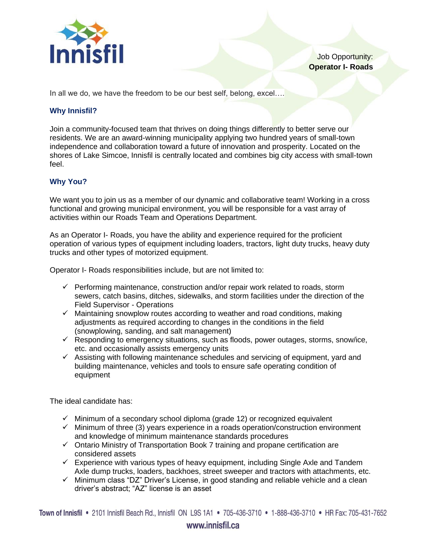

Job Opportunity: **Operator I- Roads**

In all we do, we have the freedom to be our best self, belong, excel....

## **Why Innisfil?**

Join a community-focused team that thrives on doing things differently to better serve our residents. We are an award-winning municipality applying two hundred years of small-town independence and collaboration toward a future of innovation and prosperity. Located on the shores of Lake Simcoe, Innisfil is centrally located and combines big city access with small-town feel.

## **Why You?**

We want you to join us as a member of our dynamic and collaborative team! Working in a cross functional and growing municipal environment, you will be responsible for a vast array of activities within our Roads Team and Operations Department.

As an Operator I- Roads, you have the ability and experience required for the proficient operation of various types of equipment including loaders, tractors, light duty trucks, heavy duty trucks and other types of motorized equipment.

Operator I- Roads responsibilities include, but are not limited to:

- $\checkmark$  Performing maintenance, construction and/or repair work related to roads, storm sewers, catch basins, ditches, sidewalks, and storm facilities under the direction of the Field Supervisor - Operations
- $\checkmark$  Maintaining snowplow routes according to weather and road conditions, making adjustments as required according to changes in the conditions in the field (snowplowing, sanding, and salt management)
- $\checkmark$  Responding to emergency situations, such as floods, power outages, storms, snow/ice, etc. and occasionally assists emergency units
- $\checkmark$  Assisting with following maintenance schedules and servicing of equipment, yard and building maintenance, vehicles and tools to ensure safe operating condition of equipment

The ideal candidate has:

- $\checkmark$  Minimum of a secondary school diploma (grade 12) or recognized equivalent
- $\checkmark$  Minimum of three (3) years experience in a roads operation/construction environment and knowledge of minimum maintenance standards procedures
- $\checkmark$  Ontario Ministry of Transportation Book 7 training and propane certification are considered assets
- $\checkmark$  Experience with various types of heavy equipment, including Single Axle and Tandem Axle dump trucks, loaders, backhoes, street sweeper and tractors with attachments, etc.
- $\checkmark$  Minimum class "DZ" Driver's License, in good standing and reliable vehicle and a clean driver's abstract; "AZ" license is an asset